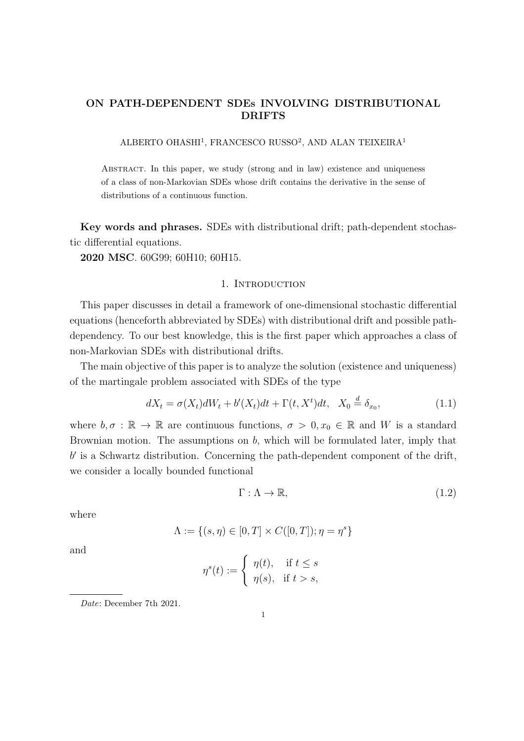# ON PATH-DEPENDENT SDEs INVOLVING DISTRIBUTIONAL DRIFTS

ALBERTO OHASHI<sup>1</sup>, FRANCESCO RUSSO<sup>2</sup>, AND ALAN TEIXEIRA<sup>1</sup>

Abstract. In this paper, we study (strong and in law) existence and uniqueness of a class of non-Markovian SDEs whose drift contains the derivative in the sense of distributions of a continuous function.

Key words and phrases. SDEs with distributional drift; path-dependent stochastic differential equations.

2020 MSC. 60G99; 60H10; 60H15.

## 1. INTRODUCTION

This paper discusses in detail a framework of one-dimensional stochastic differential equations (henceforth abbreviated by SDEs) with distributional drift and possible pathdependency. To our best knowledge, this is the first paper which approaches a class of non-Markovian SDEs with distributional drifts.

The main objective of this paper is to analyze the solution (existence and uniqueness) of the martingale problem associated with SDEs of the type

$$
dX_t = \sigma(X_t)dW_t + b'(X_t)dt + \Gamma(t, X^t)dt, \quad X_0 \stackrel{d}{=} \delta_{x_0},\tag{1.1}
$$

where  $b, \sigma : \mathbb{R} \to \mathbb{R}$  are continuous functions,  $\sigma > 0, x_0 \in \mathbb{R}$  and W is a standard Brownian motion. The assumptions on b, which will be formulated later, imply that b ′ is a Schwartz distribution. Concerning the path-dependent component of the drift, we consider a locally bounded functional

$$
\Gamma: \Lambda \to \mathbb{R},\tag{1.2}
$$

where

$$
\Lambda := \{ (s, \eta) \in [0, T] \times C([0, T]); \eta = \eta^s \}
$$

and

$$
\eta^s(t):=\left\{\begin{array}{ll}\eta(t),&\text{if }t\leq s\\\eta(s),&\text{if }t>s,\end{array}\right.
$$

Date: December 7th 2021.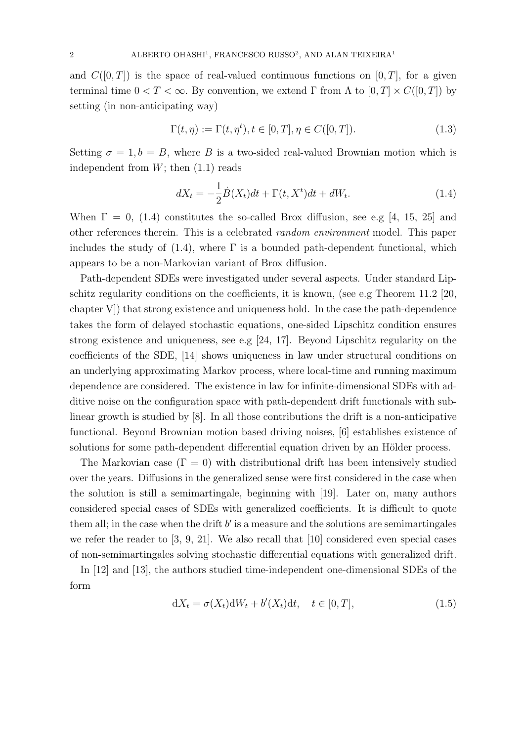and  $C([0,T])$  is the space of real-valued continuous functions on  $[0,T]$ , for a given terminal time  $0 < T < \infty$ . By convention, we extend  $\Gamma$  from  $\Lambda$  to  $[0, T] \times C([0, T])$  by setting (in non-anticipating way)

$$
\Gamma(t,\eta) := \Gamma(t,\eta^t), t \in [0,T], \eta \in C([0,T]).
$$
\n(1.3)

Setting  $\sigma = 1, b = B$ , where B is a two-sided real-valued Brownian motion which is independent from  $W$ ; then  $(1.1)$  reads

$$
dX_t = -\frac{1}{2}\dot{B}(X_t)dt + \Gamma(t, X^t)dt + dW_t.
$$
\n(1.4)

When  $\Gamma = 0$ , (1.4) constitutes the so-called Brox diffusion, see e.g [4, 15, 25] and other references therein. This is a celebrated random environment model. This paper includes the study of  $(1.4)$ , where  $\Gamma$  is a bounded path-dependent functional, which appears to be a non-Markovian variant of Brox diffusion.

Path-dependent SDEs were investigated under several aspects. Under standard Lipschitz regularity conditions on the coefficients, it is known, (see e.g Theorem 11.2 [20, chapter V]) that strong existence and uniqueness hold. In the case the path-dependence takes the form of delayed stochastic equations, one-sided Lipschitz condition ensures strong existence and uniqueness, see e.g [24, 17]. Beyond Lipschitz regularity on the coefficients of the SDE, [14] shows uniqueness in law under structural conditions on an underlying approximating Markov process, where local-time and running maximum dependence are considered. The existence in law for infinite-dimensional SDEs with additive noise on the configuration space with path-dependent drift functionals with sublinear growth is studied by [8]. In all those contributions the drift is a non-anticipative functional. Beyond Brownian motion based driving noises, [6] establishes existence of solutions for some path-dependent differential equation driven by an Hölder process.

The Markovian case  $(\Gamma = 0)$  with distributional drift has been intensively studied over the years. Diffusions in the generalized sense were first considered in the case when the solution is still a semimartingale, beginning with [19]. Later on, many authors considered special cases of SDEs with generalized coefficients. It is difficult to quote them all; in the case when the drift  $b'$  is a measure and the solutions are semimartingales we refer the reader to [3, 9, 21]. We also recall that [10] considered even special cases of non-semimartingales solving stochastic differential equations with generalized drift.

In [12] and [13], the authors studied time-independent one-dimensional SDEs of the form

$$
dX_t = \sigma(X_t)dW_t + b'(X_t)dt, \quad t \in [0, T],
$$
\n(1.5)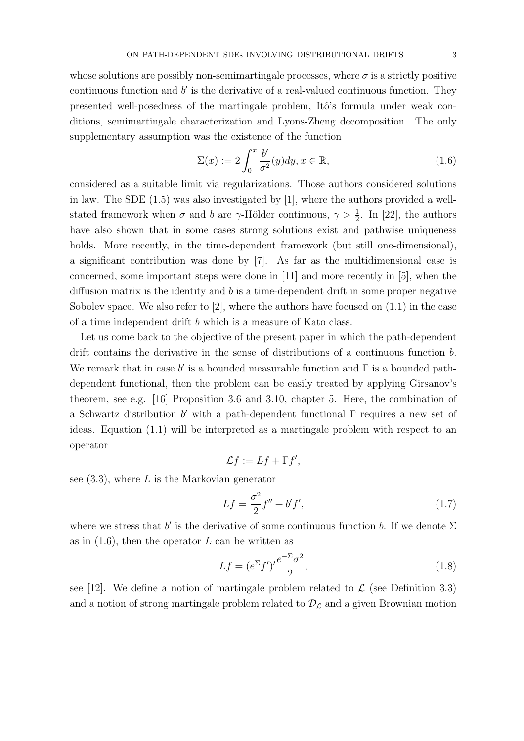whose solutions are possibly non-semimartingale processes, where  $\sigma$  is a strictly positive continuous function and  $b'$  is the derivative of a real-valued continuous function. They presented well-posedness of the martingale problem, Itô's formula under weak conditions, semimartingale characterization and Lyons-Zheng decomposition. The only supplementary assumption was the existence of the function

$$
\Sigma(x) := 2 \int_0^x \frac{b'}{\sigma^2}(y) dy, x \in \mathbb{R}, \tag{1.6}
$$

considered as a suitable limit via regularizations. Those authors considered solutions in law. The SDE (1.5) was also investigated by [1], where the authors provided a wellstated framework when  $\sigma$  and  $b$  are  $\gamma$ -Hölder continuous,  $\gamma > \frac{1}{2}$ . In [22], the authors have also shown that in some cases strong solutions exist and pathwise uniqueness holds. More recently, in the time-dependent framework (but still one-dimensional), a significant contribution was done by [7]. As far as the multidimensional case is concerned, some important steps were done in [11] and more recently in [5], when the diffusion matrix is the identity and  $b$  is a time-dependent drift in some proper negative Sobolev space. We also refer to  $[2]$ , where the authors have focused on  $(1.1)$  in the case of a time independent drift b which is a measure of Kato class.

Let us come back to the objective of the present paper in which the path-dependent drift contains the derivative in the sense of distributions of a continuous function b. We remark that in case  $b'$  is a bounded measurable function and  $\Gamma$  is a bounded pathdependent functional, then the problem can be easily treated by applying Girsanov's theorem, see e.g. [16] Proposition 3.6 and 3.10, chapter 5. Here, the combination of a Schwartz distribution  $b'$  with a path-dependent functional  $\Gamma$  requires a new set of ideas. Equation (1.1) will be interpreted as a martingale problem with respect to an operator

$$
\mathcal{L}f := Lf + \Gamma f',
$$

see  $(3.3)$ , where L is the Markovian generator

$$
Lf = \frac{\sigma^2}{2}f'' + b'f',
$$
\n(1.7)

where we stress that  $b'$  is the derivative of some continuous function b. If we denote  $\Sigma$ as in  $(1.6)$ , then the operator L can be written as

$$
Lf = (e^{\Sigma}f')'\frac{e^{-\Sigma}\sigma^2}{2},\tag{1.8}
$$

see [12]. We define a notion of martingale problem related to  $\mathcal L$  (see Definition 3.3) and a notion of strong martingale problem related to  $\mathcal{D}_{\mathcal{L}}$  and a given Brownian motion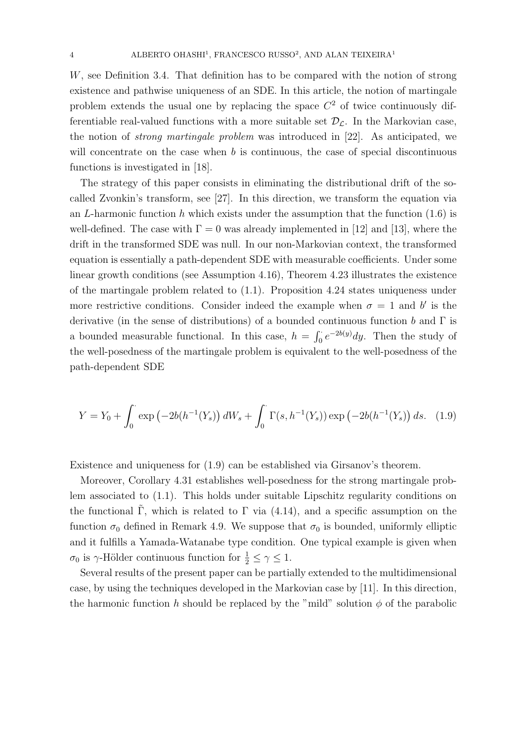W, see Definition 3.4. That definition has to be compared with the notion of strong existence and pathwise uniqueness of an SDE. In this article, the notion of martingale problem extends the usual one by replacing the space  $C<sup>2</sup>$  of twice continuously differentiable real-valued functions with a more suitable set  $\mathcal{D}_{\mathcal{L}}$ . In the Markovian case, the notion of strong martingale problem was introduced in [22]. As anticipated, we will concentrate on the case when  $b$  is continuous, the case of special discontinuous functions is investigated in [18].

The strategy of this paper consists in eliminating the distributional drift of the socalled Zvonkin's transform, see [27]. In this direction, we transform the equation via an L-harmonic function h which exists under the assumption that the function  $(1.6)$  is well-defined. The case with  $\Gamma = 0$  was already implemented in [12] and [13], where the drift in the transformed SDE was null. In our non-Markovian context, the transformed equation is essentially a path-dependent SDE with measurable coefficients. Under some linear growth conditions (see Assumption 4.16), Theorem 4.23 illustrates the existence of the martingale problem related to (1.1). Proposition 4.24 states uniqueness under more restrictive conditions. Consider indeed the example when  $\sigma = 1$  and b' is the derivative (in the sense of distributions) of a bounded continuous function b and  $\Gamma$  is a bounded measurable functional. In this case,  $h = \int_0^{\cdot} e^{-2b(y)} dy$ . Then the study of the well-posedness of the martingale problem is equivalent to the well-posedness of the path-dependent SDE

$$
Y = Y_0 + \int_0^{\cdot} \exp\left(-2b(h^{-1}(Y_s))\,dW_s + \int_0^{\cdot} \Gamma(s, h^{-1}(Y_s))\exp\left(-2b(h^{-1}(Y_s))\,ds.\right) \tag{1.9}
$$

Existence and uniqueness for (1.9) can be established via Girsanov's theorem.

Moreover, Corollary 4.31 establishes well-posedness for the strong martingale problem associated to (1.1). This holds under suitable Lipschitz regularity conditions on the functional Γ, which is related to Γ via  $(4.14)$ , and a specific assumption on the function  $\sigma_0$  defined in Remark 4.9. We suppose that  $\sigma_0$  is bounded, uniformly elliptic and it fulfills a Yamada-Watanabe type condition. One typical example is given when  $\sigma_0$  is  $\gamma$ -Hölder continuous function for  $\frac{1}{2} \leq \gamma \leq 1$ .

Several results of the present paper can be partially extended to the multidimensional case, by using the techniques developed in the Markovian case by [11]. In this direction, the harmonic function h should be replaced by the "mild" solution  $\phi$  of the parabolic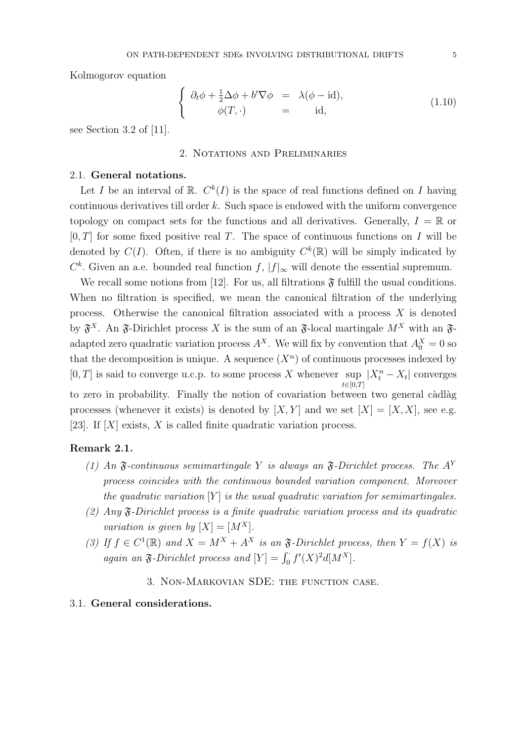Kolmogorov equation

$$
\begin{cases}\n\partial_t \phi + \frac{1}{2} \Delta \phi + b' \nabla \phi = \lambda (\phi - \text{id}), \\
\phi(T, \cdot) = \text{id},\n\end{cases}
$$
\n(1.10)

see Section 3.2 of [11].

## 2. Notations and Preliminaries

### 2.1. General notations.

Let I be an interval of  $\mathbb{R}$ .  $C^k(I)$  is the space of real functions defined on I having continuous derivatives till order  $k$ . Such space is endowed with the uniform convergence topology on compact sets for the functions and all derivatives. Generally,  $I = \mathbb{R}$  or  $[0, T]$  for some fixed positive real T. The space of continuous functions on I will be denoted by  $C(I)$ . Often, if there is no ambiguity  $C^k(\mathbb{R})$  will be simply indicated by  $C^k$ . Given an a.e. bounded real function f,  $|f|_{\infty}$  will denote the essential supremum.

We recall some notions from [12]. For us, all filtrations  $\mathfrak F$  fulfill the usual conditions. When no filtration is specified, we mean the canonical filtration of the underlying process. Otherwise the canonical filtration associated with a process  $X$  is denoted by  $\mathfrak{F}^X$ . An  $\mathfrak{F}$ -Dirichlet process X is the sum of an  $\mathfrak{F}$ -local martingale  $M^X$  with an  $\mathfrak{F}$ adapted zero quadratic variation process  $A^X$ . We will fix by convention that  $A_0^X = 0$  so that the decomposition is unique. A sequence  $(X^n)$  of continuous processes indexed by  $[0, T]$  is said to converge u.c.p. to some process X whenever sup  $t \in [0,T]$  $|X_t^n - X_t|$  converges to zero in probability. Finally the notion of covariation between two general càdlàg processes (whenever it exists) is denoted by  $[X, Y]$  and we set  $[X] = [X, X]$ , see e.g. [23]. If  $[X]$  exists, X is called finite quadratic variation process.

#### Remark 2.1.

- (1) An  $\mathfrak F$ -continuous semimartingale Y is always an  $\mathfrak F$ -Dirichlet process. The A<sup>Y</sup> process coincides with the continuous bounded variation component. Moreover the quadratic variation  $[Y]$  is the usual quadratic variation for semimartingales.
- (2) Any  $\mathfrak{F}\text{-Dirichlet process is a finite quadratic variation process and its quadratic}$ variation is given by  $[X] = [M^X]$ .
- (3) If  $f \in C^1(\mathbb{R})$  and  $X = M^X + A^X$  is an  $\mathfrak{F}\text{-Dirichlet process, then } Y = f(X)$  is again an  $\mathfrak{F}\text{-Dirichlet process}$  and  $[Y] = \int_0^{\cdot} f'(X)^2 d[M^X].$

## 3. Non-Markovian SDE: the function case.

## 3.1. General considerations.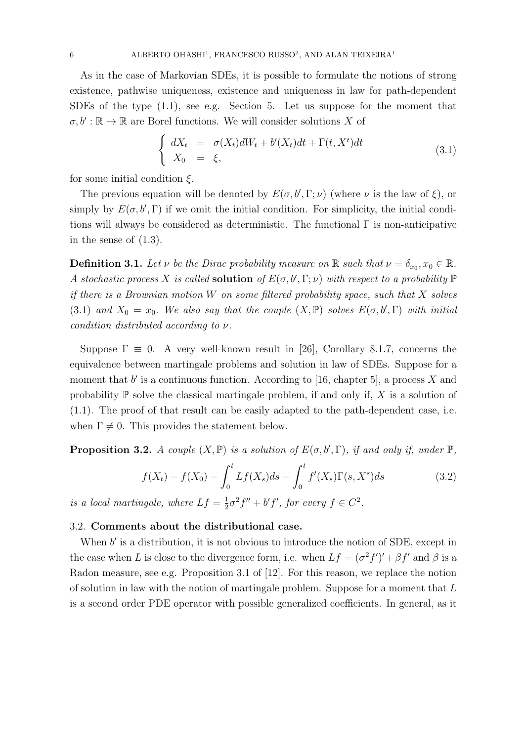As in the case of Markovian SDEs, it is possible to formulate the notions of strong existence, pathwise uniqueness, existence and uniqueness in law for path-dependent SDEs of the type (1.1), see e.g. Section 5. Let us suppose for the moment that  $\sigma, b' : \mathbb{R} \to \mathbb{R}$  are Borel functions. We will consider solutions X of

$$
\begin{cases}\n dX_t = \sigma(X_t)dW_t + b'(X_t)dt + \Gamma(t, X^t)dt \\
 X_0 = \xi,\n\end{cases}
$$
\n(3.1)

for some initial condition  $\xi$ .

The previous equation will be denoted by  $E(\sigma, b', \Gamma; \nu)$  (where  $\nu$  is the law of  $\xi$ ), or simply by  $E(\sigma, b', \Gamma)$  if we omit the initial condition. For simplicity, the initial conditions will always be considered as deterministic. The functional  $\Gamma$  is non-anticipative in the sense of (1.3).

**Definition 3.1.** Let  $\nu$  be the Dirac probability measure on  $\mathbb{R}$  such that  $\nu = \delta_{x_0}, x_0 \in \mathbb{R}$ . A stochastic process X is called **solution** of  $E(\sigma, b', \Gamma; \nu)$  with respect to a probability  $\mathbb{P}$ if there is a Brownian motion  $W$  on some filtered probability space, such that  $X$  solves (3.1) and  $X_0 = x_0$ . We also say that the couple  $(X, \mathbb{P})$  solves  $E(\sigma, b', \Gamma)$  with initial condition distributed according to ν.

Suppose  $\Gamma \equiv 0$ . A very well-known result in [26], Corollary 8.1.7, concerns the equivalence between martingale problems and solution in law of SDEs. Suppose for a moment that  $b'$  is a continuous function. According to [16, chapter 5], a process X and probability  $\mathbb P$  solve the classical martingale problem, if and only if, X is a solution of (1.1). The proof of that result can be easily adapted to the path-dependent case, i.e. when  $\Gamma \neq 0$ . This provides the statement below.

**Proposition 3.2.** A couple  $(X, \mathbb{P})$  is a solution of  $E(\sigma, b', \Gamma)$ , if and only if, under  $\mathbb{P}$ ,

$$
f(X_t) - f(X_0) - \int_0^t Lf(X_s)ds - \int_0^t f'(X_s)\Gamma(s,X^s)ds
$$
 (3.2)

is a local martingale, where  $Lf = \frac{1}{2}$  $\frac{1}{2}\sigma^2 f'' + b' f'$ , for every  $f \in C^2$ .

## 3.2. Comments about the distributional case.

When  $b'$  is a distribution, it is not obvious to introduce the notion of SDE, except in the case when L is close to the divergence form, i.e. when  $Lf = (\sigma^2 f')' + \beta f'$  and  $\beta$  is a Radon measure, see e.g. Proposition 3.1 of [12]. For this reason, we replace the notion of solution in law with the notion of martingale problem. Suppose for a moment that  $L$ is a second order PDE operator with possible generalized coefficients. In general, as it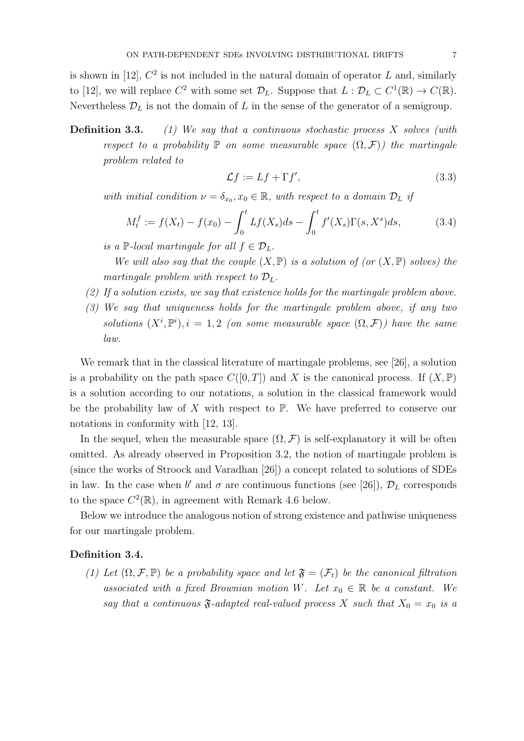is shown in [12],  $C^2$  is not included in the natural domain of operator L and, similarly to [12], we will replace  $C^2$  with some set  $\mathcal{D}_L$ . Suppose that  $L : \mathcal{D}_L \subset C^1(\mathbb{R}) \to C(\mathbb{R})$ . Nevertheless  $\mathcal{D}_L$  is not the domain of L in the sense of the generator of a semigroup.

**Definition 3.3.** (1) We say that a continuous stochastic process X solves (with respect to a probability  $\mathbb P$  on some measurable space  $(\Omega, \mathcal F)$ ) the martingale problem related to

$$
\mathcal{L}f := Lf + \Gamma f',\tag{3.3}
$$

with initial condition  $\nu = \delta_{x_0}, x_0 \in \mathbb{R}$ , with respect to a domain  $\mathcal{D}_L$  if

$$
M_t^f := f(X_t) - f(x_0) - \int_0^t Lf(X_s)ds - \int_0^t f'(X_s)\Gamma(s,X^s)ds,\tag{3.4}
$$

is a P-local martingale for all  $f \in \mathcal{D}_L$ .

We will also say that the couple  $(X, \mathbb{P})$  is a solution of (or  $(X, \mathbb{P})$  solves) the martingale problem with respect to  $\mathcal{D}_L$ .

- $(2)$  If a solution exists, we say that existence holds for the martingale problem above.
- (3) We say that uniqueness holds for the martingale problem above, if any two solutions  $(X^i, \mathbb{P}^i), i = 1, 2$  (on some measurable space  $(\Omega, \mathcal{F})$ ) have the same law.

We remark that in the classical literature of martingale problems, see [26], a solution is a probability on the path space  $C([0, T])$  and X is the canonical process. If  $(X, \mathbb{P})$ is a solution according to our notations, a solution in the classical framework would be the probability law of  $X$  with respect to  $\mathbb{P}$ . We have preferred to conserve our notations in conformity with [12, 13].

In the sequel, when the measurable space  $(\Omega, \mathcal{F})$  is self-explanatory it will be often omitted. As already observed in Proposition 3.2, the notion of martingale problem is (since the works of Stroock and Varadhan [26]) a concept related to solutions of SDEs in law. In the case when b' and  $\sigma$  are continuous functions (see [26]),  $\mathcal{D}_L$  corresponds to the space  $C^2(\mathbb{R})$ , in agreement with Remark 4.6 below.

Below we introduce the analogous notion of strong existence and pathwise uniqueness for our martingale problem.

## Definition 3.4.

(1) Let  $(\Omega, \mathcal{F}, \mathbb{P})$  be a probability space and let  $\mathfrak{F} = (\mathcal{F}_t)$  be the canonical filtration associated with a fixed Brownian motion W. Let  $x_0 \in \mathbb{R}$  be a constant. We say that a continuous  $\mathfrak{F}\text{-}adapted$  real-valued process X such that  $X_0 = x_0$  is a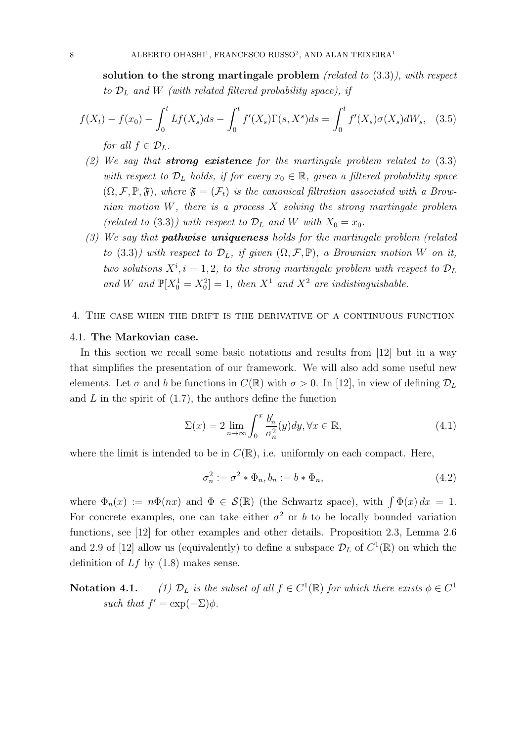solution to the strong martingale problem (related to  $(3.3)$ ), with respect to  $\mathcal{D}_L$  and W (with related filtered probability space), if

$$
f(X_t) - f(x_0) - \int_0^t Lf(X_s)ds - \int_0^t f'(X_s)\Gamma(s,X^s)ds = \int_0^t f'(X_s)\sigma(X_s)dW_s, \quad (3.5)
$$
  
for all  $f \in \mathcal{D}_L$ .

- (2) We say that **strong existence** for the martingale problem related to  $(3.3)$ with respect to  $\mathcal{D}_L$  holds, if for every  $x_0 \in \mathbb{R}$ , given a filtered probability space  $(\Omega, \mathcal{F}, \mathbb{P}, \mathfrak{F})$ , where  $\mathfrak{F} = (\mathcal{F}_t)$  is the canonical filtration associated with a Brownian motion  $W$ , there is a process  $X$  solving the strong martingale problem (related to (3.3)) with respect to  $\mathcal{D}_L$  and W with  $X_0 = x_0$ .
- $(3)$  We say that **pathwise uniqueness** holds for the martingale problem (related to (3.3)) with respect to  $\mathcal{D}_L$ , if given  $(\Omega, \mathcal{F}, \mathbb{P})$ , a Brownian motion W on it, two solutions  $X^i$ ,  $i = 1, 2$ , to the strong martingale problem with respect to  $\mathcal{D}_L$ and W and  $\mathbb{P}[X_0^1 = X_0^2] = 1$ , then  $X^1$  and  $X^2$  are indistinguishable.

#### 4. The case when the drift is the derivative of a continuous function

#### 4.1. The Markovian case.

In this section we recall some basic notations and results from [12] but in a way that simplifies the presentation of our framework. We will also add some useful new elements. Let  $\sigma$  and b be functions in  $C(\mathbb{R})$  with  $\sigma > 0$ . In [12], in view of defining  $\mathcal{D}_L$ and  $L$  in the spirit of  $(1.7)$ , the authors define the function

$$
\Sigma(x) = 2 \lim_{n \to \infty} \int_0^x \frac{b'_n}{\sigma_n^2}(y) dy, \forall x \in \mathbb{R}, \tag{4.1}
$$

where the limit is intended to be in  $C(\mathbb{R})$ , i.e. uniformly on each compact. Here,

$$
\sigma_n^2 := \sigma^2 * \Phi_n, b_n := b * \Phi_n,\tag{4.2}
$$

where  $\Phi_n(x) := n\Phi(nx)$  and  $\Phi \in \mathcal{S}(\mathbb{R})$  (the Schwartz space), with  $\int \Phi(x) dx = 1$ . For concrete examples, one can take either  $\sigma^2$  or b to be locally bounded variation functions, see [12] for other examples and other details. Proposition 2.3, Lemma 2.6 and 2.9 of [12] allow us (equivalently) to define a subspace  $\mathcal{D}_L$  of  $C^1(\mathbb{R})$  on which the definition of  $Lf$  by  $(1.8)$  makes sense.

**Notation 4.1.** (1)  $\mathcal{D}_L$  is the subset of all  $f \in C^1(\mathbb{R})$  for which there exists  $\phi \in C^1$ such that  $f' = \exp(-\Sigma)\phi$ .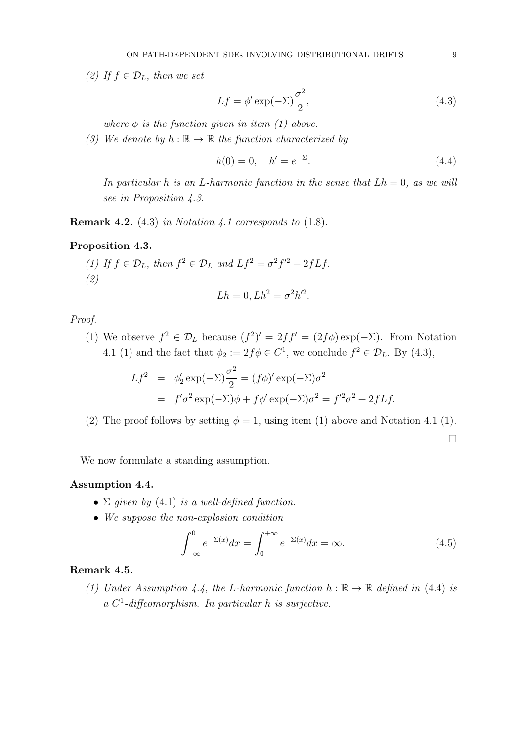(2) If  $f \in \mathcal{D}_L$ , then we set

$$
Lf = \phi' \exp(-\Sigma) \frac{\sigma^2}{2},\tag{4.3}
$$

where  $\phi$  is the function given in item (1) above.

(3) We denote by  $h : \mathbb{R} \to \mathbb{R}$  the function characterized by

$$
h(0) = 0, \quad h' = e^{-\Sigma}.
$$
\n(4.4)

In particular h is an L-harmonic function in the sense that  $Lh = 0$ , as we will see in Proposition 4.3.

**Remark 4.2.** (4.3) in Notation 4.1 corresponds to  $(1.8)$ .

## Proposition 4.3.

(1) If  $f \in \mathcal{D}_L$ , then  $f^2 \in \mathcal{D}_L$  and  $Lf^2 = \sigma^2 f'^2 + 2fLf$ . (2)

$$
Lh = 0, Lh^2 = \sigma^2 h'^2.
$$

Proof.

(1) We observe  $f^2 \in \mathcal{D}_L$  because  $(f^2)' = 2ff' = (2f\phi) \exp(-\Sigma)$ . From Notation 4.1 (1) and the fact that  $\phi_2 := 2f \phi \in C^1$ , we conclude  $f^2 \in \mathcal{D}_L$ . By (4.3),

$$
Lf^2 = \phi_2' \exp(-\Sigma) \frac{\sigma^2}{2} = (f\phi)' \exp(-\Sigma) \sigma^2
$$
  
=  $f'\sigma^2 \exp(-\Sigma)\phi + f\phi' \exp(-\Sigma) \sigma^2 = f'^2 \sigma^2 + 2fLf.$ 

(2) The proof follows by setting  $\phi = 1$ , using item (1) above and Notation 4.1 (1).

 $\Box$ 

We now formulate a standing assumption.

## Assumption 4.4.

- $\Sigma$  given by (4.1) is a well-defined function.
- We suppose the non-explosion condition

$$
\int_{-\infty}^{0} e^{-\Sigma(x)} dx = \int_{0}^{+\infty} e^{-\Sigma(x)} dx = \infty.
$$
 (4.5)

#### Remark 4.5.

(1) Under Assumption 4.4, the L-harmonic function  $h : \mathbb{R} \to \mathbb{R}$  defined in (4.4) is a C 1 -diffeomorphism. In particular h is surjective.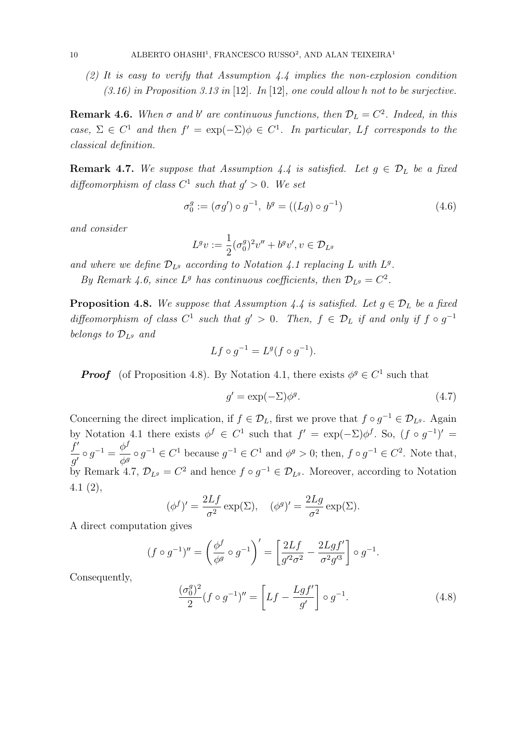(2) It is easy to verify that Assumption 4.4 implies the non-explosion condition  $(3.16)$  in Proposition 3.13 in [12]. In [12], one could allow h not to be surjective.

**Remark 4.6.** When  $\sigma$  and  $b'$  are continuous functions, then  $\mathcal{D}_L = C^2$ . Indeed, in this case,  $\Sigma \in C^1$  and then  $f' = \exp(-\Sigma)\phi \in C^1$ . In particular, Lf corresponds to the classical definition.

**Remark 4.7.** We suppose that Assumption 4.4 is satisfied. Let  $g \in \mathcal{D}_L$  be a fixed diffeomorphism of class  $C^1$  such that  $g' > 0$ . We set

$$
\sigma_0^g := (\sigma g') \circ g^{-1}, \ b^g = ((Lg) \circ g^{-1})
$$
\n(4.6)

and consider

$$
L^gv:=\frac{1}{2}(\sigma_0^g)^2v''+b^gv',v\in\mathcal{D}_{L^g}
$$

and where we define  $\mathcal{D}_{L^g}$  according to Notation 4.1 replacing L with  $L^g$ .

By Remark 4.6, since  $L^g$  has continuous coefficients, then  $\mathcal{D}_{L^g} = C^2$ .

**Proposition 4.8.** We suppose that Assumption 4.4 is satisfied. Let  $g \in \mathcal{D}_L$  be a fixed diffeomorphism of class  $C^1$  such that  $g' > 0$ . Then,  $f \in \mathcal{D}_L$  if and only if  $f \circ g^{-1}$ belongs to  $\mathcal{D}_{Lg}$  and

$$
Lf \circ g^{-1} = L^g(f \circ g^{-1}).
$$

**Proof** (of Proposition 4.8). By Notation 4.1, there exists  $\phi^g \in C^1$  such that

$$
g' = \exp(-\Sigma)\phi^g. \tag{4.7}
$$

Concerning the direct implication, if  $f \in \mathcal{D}_L$ , first we prove that  $f \circ g^{-1} \in \mathcal{D}_{L^g}$ . Again by Notation 4.1 there exists  $\phi^f \in C^1$  such that  $f' = \exp(-\Sigma)\phi^f$ . So,  $(f \circ g^{-1})' =$ f ′  $\frac{f'}{g'} \circ g^{-1} = \frac{\phi^f}{\phi^g}$  $\frac{\varphi}{\phi^g} \circ g^{-1} \in C^1$  because  $g^{-1} \in C^1$  and  $\phi^g > 0$ ; then,  $f \circ g^{-1} \in C^2$ . Note that, by Remark 4.7,  $\mathcal{D}_{L^g} = C^2$  and hence  $f \circ g^{-1} \in \mathcal{D}_{L^g}$ . Moreover, according to Notation 4.1 (2),

$$
(\phi^f)' = \frac{2Lf}{\sigma^2} \exp(\Sigma), \quad (\phi^g)' = \frac{2Lg}{\sigma^2} \exp(\Sigma).
$$

A direct computation gives

$$
(f \circ g^{-1})'' = \left(\frac{\phi^f}{\phi^g} \circ g^{-1}\right)' = \left[\frac{2Lf}{g'^2 \sigma^2} - \frac{2Lgf'}{\sigma^2 g'^3}\right] \circ g^{-1}.
$$

Consequently,

$$
\frac{(\sigma_0^g)^2}{2}(f \circ g^{-1})'' = \left[Lf - \frac{Lgf'}{g'}\right] \circ g^{-1}.
$$
\n(4.8)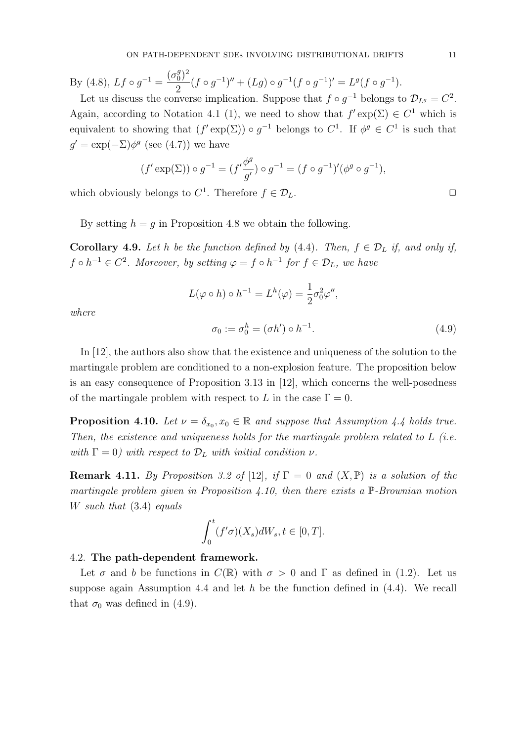By (4.8), 
$$
Lf \circ g^{-1} = \frac{(\sigma_0^g)^2}{2} (f \circ g^{-1})'' + (Lg) \circ g^{-1} (f \circ g^{-1})' = L^g (f \circ g^{-1}).
$$
  
Let us discuss the converse implication. Suppose that  $f \circ g^{-1}$  belongs to

Let us discuss the converse implication. Suppose that  $f \circ g^{-1}$  belongs to  $\mathcal{D}_{L^g} = C^2$ . Again, according to Notation 4.1 (1), we need to show that  $f' \exp(\Sigma) \in C^1$  which is equivalent to showing that  $(f' \exp(\Sigma)) \circ g^{-1}$  belongs to  $C^1$ . If  $\phi^g \in C^1$  is such that  $g' = \exp(-\Sigma) \phi^g$  (see (4.7)) we have

$$
(f' \exp(\Sigma)) \circ g^{-1} = (f' \frac{\phi^g}{g'}) \circ g^{-1} = (f \circ g^{-1})'(\phi^g \circ g^{-1}),
$$

which obviously belongs to  $C^1$ . Therefore  $f \in \mathcal{D}_L$ .

By setting  $h = g$  in Proposition 4.8 we obtain the following.

**Corollary 4.9.** Let h be the function defined by (4.4). Then,  $f \in \mathcal{D}_L$  if, and only if,  $f \circ h^{-1} \in C^2$ . Moreover, by setting  $\varphi = f \circ h^{-1}$  for  $f \in \mathcal{D}_L$ , we have

$$
L(\varphi \circ h) \circ h^{-1} = L^h(\varphi) = \frac{1}{2}\sigma_0^2 \varphi'',
$$

where

$$
\sigma_0 := \sigma_0^h = (\sigma h') \circ h^{-1}.
$$
\n
$$
(4.9)
$$

In [12], the authors also show that the existence and uniqueness of the solution to the martingale problem are conditioned to a non-explosion feature. The proposition below is an easy consequence of Proposition 3.13 in [12], which concerns the well-posedness of the martingale problem with respect to L in the case  $\Gamma = 0$ .

**Proposition 4.10.** Let  $\nu = \delta_{x_0}, x_0 \in \mathbb{R}$  and suppose that Assumption 4.4 holds true. Then, the existence and uniqueness holds for the martingale problem related to  $L$  (i.e. with  $\Gamma = 0$ ) with respect to  $\mathcal{D}_L$  with initial condition  $\nu$ .

**Remark 4.11.** By Proposition 3.2 of [12], if  $\Gamma = 0$  and  $(X, \mathbb{P})$  is a solution of the martingale problem given in Proposition 4.10, then there exists a  $\mathbb{P}$ -Brownian motion W such that  $(3.4)$  equals

$$
\int_0^t (f'\sigma)(X_s)dW_s, t \in [0, T].
$$

#### 4.2. The path-dependent framework.

Let  $\sigma$  and b be functions in  $C(\mathbb{R})$  with  $\sigma > 0$  and  $\Gamma$  as defined in (1.2). Let us suppose again Assumption 4.4 and let h be the function defined in  $(4.4)$ . We recall that  $\sigma_0$  was defined in (4.9).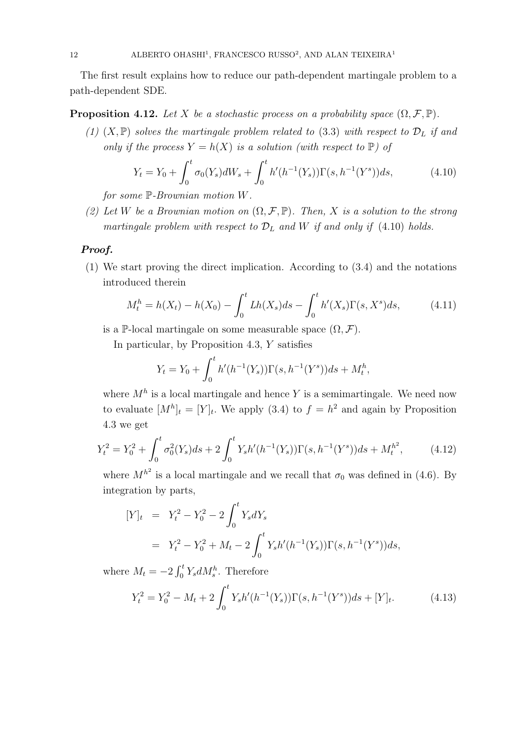The first result explains how to reduce our path-dependent martingale problem to a path-dependent SDE.

**Proposition 4.12.** Let X be a stochastic process on a probability space  $(\Omega, \mathcal{F}, \mathbb{P})$ .

(1)  $(X,\mathbb{P})$  solves the martingale problem related to (3.3) with respect to  $\mathcal{D}_L$  if and only if the process  $Y = h(X)$  is a solution (with respect to  $\mathbb{P}$ ) of

$$
Y_t = Y_0 + \int_0^t \sigma_0(Y_s) dW_s + \int_0^t h'(h^{-1}(Y_s)) \Gamma(s, h^{-1}(Y^s)) ds,
$$
\n(4.10)

for some  $\mathbb{P}$ -Brownian motion W.

(2) Let W be a Brownian motion on  $(\Omega, \mathcal{F}, \mathbb{P})$ . Then, X is a solution to the strong martingale problem with respect to  $\mathcal{D}_L$  and W if and only if (4.10) holds.

## Proof.

(1) We start proving the direct implication. According to (3.4) and the notations introduced therein

$$
M_t^h = h(X_t) - h(X_0) - \int_0^t Lh(X_s)ds - \int_0^t h'(X_s)\Gamma(s, X^s)ds,
$$
 (4.11)

is a P-local martingale on some measurable space  $(\Omega, \mathcal{F})$ .

In particular, by Proposition 4.3, Y satisfies

$$
Y_t = Y_0 + \int_0^t h'(h^{-1}(Y_s))\Gamma(s, h^{-1}(Y^s))ds + M_t^h,
$$

where  $M<sup>h</sup>$  is a local martingale and hence Y is a semimartingale. We need now to evaluate  $[M^h]_t = [Y]_t$ . We apply (3.4) to  $f = h^2$  and again by Proposition 4.3 we get

$$
Y_t^2 = Y_0^2 + \int_0^t \sigma_0^2(Y_s)ds + 2\int_0^t Y_s h'(h^{-1}(Y_s))\Gamma(s, h^{-1}(Y^s))ds + M_t^{h^2},\tag{4.12}
$$

where  $M^{h^2}$  is a local martingale and we recall that  $\sigma_0$  was defined in (4.6). By integration by parts,

$$
[Y]_t = Y_t^2 - Y_0^2 - 2 \int_0^t Y_s dY_s
$$
  
=  $Y_t^2 - Y_0^2 + M_t - 2 \int_0^t Y_s h'(h^{-1}(Y_s)) \Gamma(s, h^{-1}(Y^s)) ds,$ 

where  $M_t = -2 \int_0^t Y_s dM_s^h$ . Therefore

$$
Y_t^2 = Y_0^2 - M_t + 2 \int_0^t Y_s h'(h^{-1}(Y_s)) \Gamma(s, h^{-1}(Y^s)) ds + [Y]_t.
$$
 (4.13)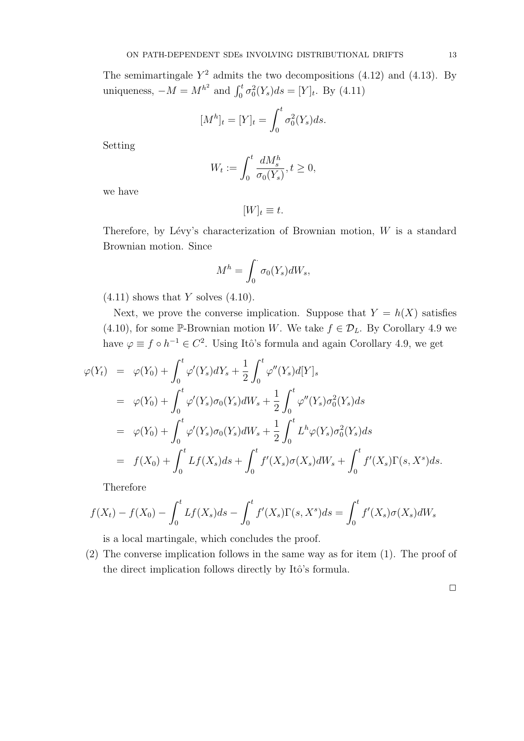The semimartingale  $Y^2$  admits the two decompositions (4.12) and (4.13). By uniqueness,  $-M = M^{h^2}$  and  $\int_0^t \sigma_0^2(Y_s) ds = [Y]_t$ . By (4.11)

$$
[M^h]_t = [Y]_t = \int_0^t \sigma_0^2(Y_s)ds.
$$

Setting

$$
W_t := \int_0^t \frac{dM_s^h}{\sigma_0(Y_s)}, t \ge 0,
$$

we have

$$
[W]_t \equiv t.
$$

Therefore, by Lévy's characterization of Brownian motion,  $W$  is a standard Brownian motion. Since

$$
M^h = \int_0^{\cdot} \sigma_0(Y_s) dW_s,
$$

 $(4.11)$  shows that Y solves  $(4.10)$ .

Next, we prove the converse implication. Suppose that  $Y = h(X)$  satisfies (4.10), for some P-Brownian motion W. We take  $f \in \mathcal{D}_L$ . By Corollary 4.9 we have  $\varphi \equiv f \circ h^{-1} \in C^2$ . Using Itô's formula and again Corollary 4.9, we get

$$
\varphi(Y_t) = \varphi(Y_0) + \int_0^t \varphi'(Y_s) dY_s + \frac{1}{2} \int_0^t \varphi''(Y_s) d[Y]_s
$$
  
\n
$$
= \varphi(Y_0) + \int_0^t \varphi'(Y_s) \sigma_0(Y_s) dW_s + \frac{1}{2} \int_0^t \varphi''(Y_s) \sigma_0^2(Y_s) ds
$$
  
\n
$$
= \varphi(Y_0) + \int_0^t \varphi'(Y_s) \sigma_0(Y_s) dW_s + \frac{1}{2} \int_0^t L^h \varphi(Y_s) \sigma_0^2(Y_s) ds
$$
  
\n
$$
= f(X_0) + \int_0^t Lf(X_s) ds + \int_0^t f'(X_s) \sigma(X_s) dW_s + \int_0^t f'(X_s) \Gamma(s, X^s) ds.
$$

Therefore

$$
f(X_t) - f(X_0) - \int_0^t Lf(X_s)ds - \int_0^t f'(X_s)\Gamma(s,X^s)ds = \int_0^t f'(X_s)\sigma(X_s)dW_s
$$

is a local martingale, which concludes the proof.

(2) The converse implication follows in the same way as for item (1). The proof of the direct implication follows directly by Itô's formula.

 $\Box$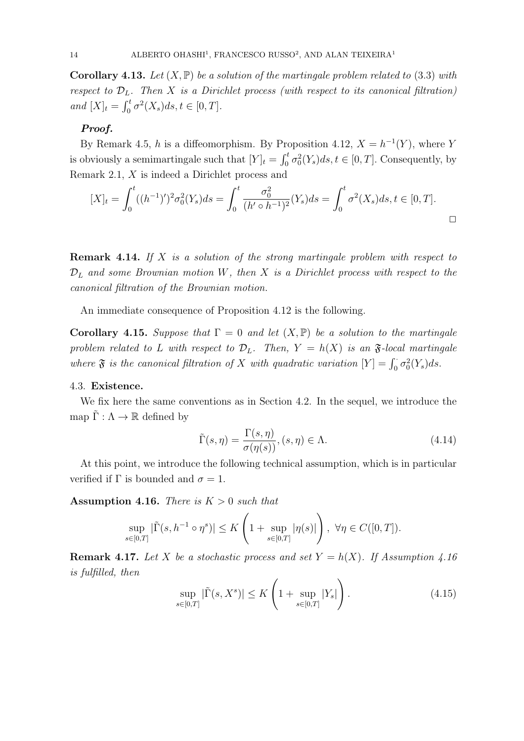**Corollary 4.13.** Let  $(X, \mathbb{P})$  be a solution of the martingale problem related to (3.3) with respect to  $\mathcal{D}_L$ . Then X is a Dirichlet process (with respect to its canonical filtration) and  $[X]_t = \int_0^t \sigma^2(X_s) ds, t \in [0, T].$ 

## Proof.

By Remark 4.5, h is a diffeomorphism. By Proposition 4.12,  $X = h^{-1}(Y)$ , where Y is obviously a semimartingale such that  $[Y]_t = \int_0^t \sigma_0^2(Y_s) ds, t \in [0, T]$ . Consequently, by Remark 2.1, X is indeed a Dirichlet process and

$$
[X]_t = \int_0^t ((h^{-1})')^2 \sigma_0^2(Y_s) ds = \int_0^t \frac{\sigma_0^2}{(h' \circ h^{-1})^2} (Y_s) ds = \int_0^t \sigma^2(X_s) ds, t \in [0, T].
$$

**Remark 4.14.** If X is a solution of the strong martingale problem with respect to  $\mathcal{D}_L$  and some Brownian motion W, then X is a Dirichlet process with respect to the canonical filtration of the Brownian motion.

An immediate consequence of Proposition 4.12 is the following.

Corollary 4.15. Suppose that  $\Gamma = 0$  and let  $(X, \mathbb{P})$  be a solution to the martingale problem related to L with respect to  $\mathcal{D}_L$ . Then,  $Y = h(X)$  is an  $\mathfrak{F}\text{-}local$  martingale where  $\mathfrak{F}$  is the canonical filtration of X with quadratic variation  $[Y] = \int_0^1 \sigma_0^2(Y_s) ds$ .

## 4.3. Existence.

We fix here the same conventions as in Section 4.2. In the sequel, we introduce the map  $\tilde{\Gamma}: \Lambda \to \mathbb{R}$  defined by

$$
\tilde{\Gamma}(s,\eta) = \frac{\Gamma(s,\eta)}{\sigma(\eta(s))}, (s,\eta) \in \Lambda.
$$
\n(4.14)

At this point, we introduce the following technical assumption, which is in particular verified if  $\Gamma$  is bounded and  $\sigma = 1$ .

**Assumption 4.16.** There is  $K > 0$  such that

$$
\sup_{s\in[0,T]}|\tilde{\Gamma}(s,h^{-1}\circ\eta^s)|\leq K\left(1+\sup_{s\in[0,T]}|\eta(s)|\right),\ \forall\eta\in C([0,T]).
$$

**Remark 4.17.** Let X be a stochastic process and set  $Y = h(X)$ . If Assumption 4.16 is fulfilled, then

$$
\sup_{s \in [0,T]} |\tilde{\Gamma}(s, X^s)| \le K \left( 1 + \sup_{s \in [0,T]} |Y_s| \right). \tag{4.15}
$$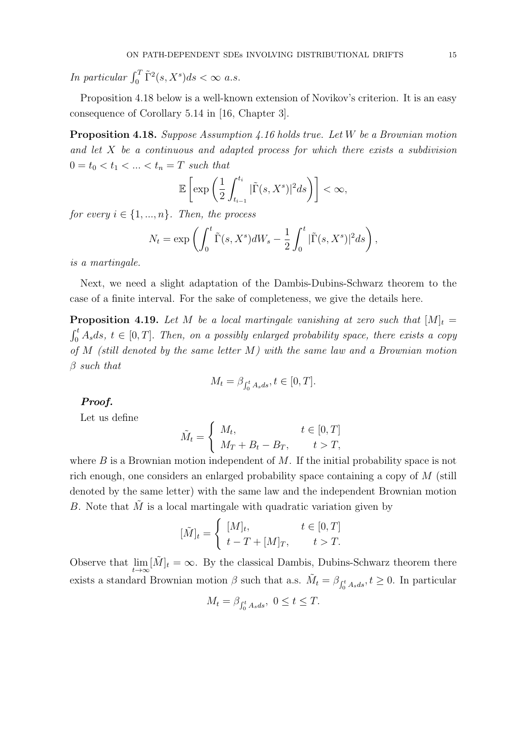In particular  $\int_0^T \tilde{\Gamma}^2(s,X^s)ds < \infty$  a.s.

Proposition 4.18 below is a well-known extension of Novikov's criterion. It is an easy consequence of Corollary 5.14 in [16, Chapter 3].

Proposition 4.18. Suppose Assumption 4.16 holds true. Let W be a Brownian motion and let  $X$  be a continuous and adapted process for which there exists a subdivision  $0 = t_0 < t_1 < ... < t_n = T$  such that

$$
\mathbb{E}\left[\exp\left(\frac{1}{2}\int_{t_{i-1}}^{t_i} |\tilde{\Gamma}(s,X^s)|^2 ds\right)\right] < \infty,
$$

for every  $i \in \{1, ..., n\}$ . Then, the process

$$
N_t = \exp\left(\int_0^t \tilde{\Gamma}(s, X^s) dW_s - \frac{1}{2} \int_0^t |\tilde{\Gamma}(s, X^s)|^2 ds\right),
$$

is a martingale.

Next, we need a slight adaptation of the Dambis-Dubins-Schwarz theorem to the case of a finite interval. For the sake of completeness, we give the details here.

**Proposition 4.19.** Let M be a local martingale vanishing at zero such that  $[M]_t =$  $\int_0^t A_s ds$ ,  $t \in [0, T]$ . Then, on a possibly enlarged probability space, there exists a copy of  $M$  (still denoted by the same letter  $M$ ) with the same law and a Brownian motion  $\beta$  such that

$$
M_t = \beta_{\int_0^t A_s ds}, t \in [0, T].
$$

## Proof.

Let us define

$$
\tilde{M}_t = \begin{cases} M_t, & t \in [0, T] \\ M_T + B_t - B_T, & t > T, \end{cases}
$$

where  $B$  is a Brownian motion independent of  $M$ . If the initial probability space is not rich enough, one considers an enlarged probability space containing a copy of M (still denoted by the same letter) with the same law and the independent Brownian motion B. Note that  $\tilde{M}$  is a local martingale with quadratic variation given by

$$
[\tilde{M}]_t = \begin{cases} [M]_t, & t \in [0, T] \\ t - T + [M]_T, & t > T. \end{cases}
$$

Observe that  $\lim_{t\to\infty} [\tilde{M}]_t = \infty$ . By the classical Dambis, Dubins-Schwarz theorem there exists a standard Brownian motion  $\beta$  such that a.s.  $\tilde{M}_t = \beta_{\int_0^t A_s ds}, t \ge 0$ . In particular

$$
M_t = \beta_{\int_0^t A_s ds}, \ 0 \le t \le T.
$$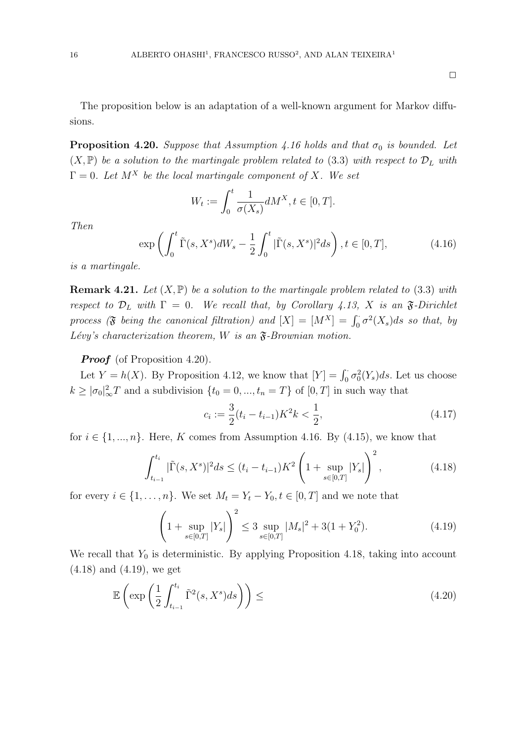The proposition below is an adaptation of a well-known argument for Markov diffusions.

**Proposition 4.20.** Suppose that Assumption 4.16 holds and that  $\sigma_0$  is bounded. Let  $(X, \mathbb{P})$  be a solution to the martingale problem related to (3.3) with respect to  $\mathcal{D}_L$  with  $\Gamma = 0$ . Let  $M^X$  be the local martingale component of X. We set

$$
W_t := \int_0^t \frac{1}{\sigma(X_s)} dM^X, t \in [0, T].
$$

Then

$$
\exp\left(\int_0^t \tilde{\Gamma}(s,X^s)dW_s - \frac{1}{2}\int_0^t |\tilde{\Gamma}(s,X^s)|^2ds\right), t \in [0,T],\tag{4.16}
$$

is a martingale.

**Remark 4.21.** Let  $(X, \mathbb{P})$  be a solution to the martingale problem related to (3.3) with respect to  $\mathcal{D}_L$  with  $\Gamma = 0$ . We recall that, by Corollary 4.13, X is an  $\mathfrak{F}\text{-Dirichlet}$ process ( $\mathfrak F$  being the canonical filtration) and  $[X] = [M^X] = \int_0^1 \sigma^2(X_s) ds$  so that, by Lévy's characterization theorem, W is an  $\mathfrak{F}\text{-}Brownian$  motion.

**Proof** (of Proposition 4.20).

Let  $Y = h(X)$ . By Proposition 4.12, we know that  $[Y] = \int_0^1 \sigma_0^2(Y_s) ds$ . Let us choose  $k \geq |\sigma_0|^2_{\infty} T$  and a subdivision  $\{t_0 = 0, ..., t_n = T\}$  of  $[0, T]$  in such way that

$$
c_i := \frac{3}{2}(t_i - t_{i-1})K^2 k < \frac{1}{2},\tag{4.17}
$$

for  $i \in \{1, ..., n\}$ . Here, K comes from Assumption 4.16. By (4.15), we know that

$$
\int_{t_{i-1}}^{t_i} |\tilde{\Gamma}(s, X^s)|^2 ds \le (t_i - t_{i-1}) K^2 \left( 1 + \sup_{s \in [0,T]} |Y_s| \right)^2, \tag{4.18}
$$

for every  $i \in \{1, \ldots, n\}$ . We set  $M_t = Y_t - Y_0, t \in [0, T]$  and we note that

$$
\left(1 + \sup_{s \in [0,T]} |Y_s|\right)^2 \le 3 \sup_{s \in [0,T]} |M_s|^2 + 3(1 + Y_0^2). \tag{4.19}
$$

We recall that  $Y_0$  is deterministic. By applying Proposition 4.18, taking into account (4.18) and (4.19), we get

$$
\mathbb{E}\left(\exp\left(\frac{1}{2}\int_{t_{i-1}}^{t_i}\tilde{\Gamma}^2(s,X^s)ds\right)\right) \leq \tag{4.20}
$$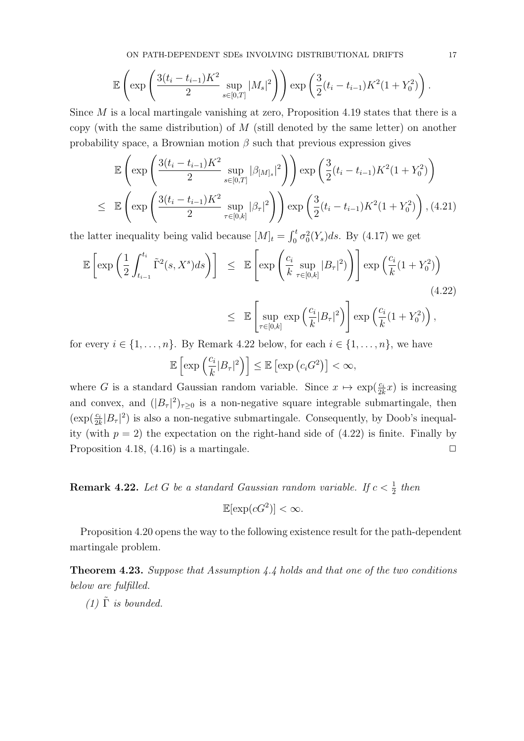ON PATH-DEPENDENT SDEs INVOLVING DISTRIBUTIONAL DRIFTS 17

$$
\mathbb{E}\left(\exp\left(\frac{3(t_i - t_{i-1})K^2}{2}\sup_{s \in [0,T]} |M_s|^2\right)\right)\exp\left(\frac{3}{2}(t_i - t_{i-1})K^2(1 + Y_0^2)\right).
$$

Since  $M$  is a local martingale vanishing at zero, Proposition 4.19 states that there is a copy (with the same distribution) of  $M$  (still denoted by the same letter) on another probability space, a Brownian motion  $\beta$  such that previous expression gives

$$
\mathbb{E}\left(\exp\left(\frac{3(t_i - t_{i-1})K^2}{2}\sup_{s \in [0,T]}|\beta_{[M]_s}|^2\right)\right)\exp\left(\frac{3}{2}(t_i - t_{i-1})K^2(1 + Y_0^2)\right)
$$
\n
$$
\leq \mathbb{E}\left(\exp\left(\frac{3(t_i - t_{i-1})K^2}{2}\sup_{\tau \in [0,k]}|\beta_{\tau}|^2\right)\right)\exp\left(\frac{3}{2}(t_i - t_{i-1})K^2(1 + Y_0^2)\right), (4.21)
$$

the latter inequality being valid because  $[M]_t = \int_0^t \sigma_0^2(Y_s) ds$ . By (4.17) we get

$$
\mathbb{E}\left[\exp\left(\frac{1}{2}\int_{t_{i-1}}^{t_i} \tilde{\Gamma}^2(s,X^s)ds\right)\right] \leq \mathbb{E}\left[\exp\left(\frac{c_i}{k}\sup_{\tau\in[0,k]}|B_{\tau}|^2)\right)\right] \exp\left(\frac{c_i}{k}(1+Y_0^2)\right)
$$
\n
$$
\leq \mathbb{E}\left[\sup_{\tau\in[0,k]} \exp\left(\frac{c_i}{k}|B_{\tau}|^2\right)\right] \exp\left(\frac{c_i}{k}(1+Y_0^2)\right),
$$
\n(4.22)

for every  $i \in \{1, \ldots, n\}$ . By Remark 4.22 below, for each  $i \in \{1, \ldots, n\}$ , we have  $\mathbb{E}\left[\exp\left(\frac{c_i}{k}|B_{\tau}|^2\right)\right] \leq \mathbb{E}\left[\exp\left(c_iG^2\right)\right] < \infty,$ 

where G is a standard Gaussian random variable. Since  $x \mapsto \exp(\frac{c_i}{2k}x)$  is increasing and convex, and  $(|B_\tau|^2)_{\tau \geq 0}$  is a non-negative square integrable submartingale, then  $(\exp(\frac{c_i}{2k}|B_{\tau}|^2))$  is also a non-negative submartingale. Consequently, by Doob's inequality (with  $p = 2$ ) the expectation on the right-hand side of  $(4.22)$  is finite. Finally by Proposition 4.18,  $(4.16)$  is a martingale.  $\Box$ 

**Remark 4.22.** Let G be a standard Gaussian random variable. If  $c < \frac{1}{2}$  then

$$
\mathbb{E}[\exp(cG^2)] < \infty.
$$

Proposition 4.20 opens the way to the following existence result for the path-dependent martingale problem.

Theorem 4.23. Suppose that Assumption 4.4 holds and that one of the two conditions below are fulfilled.

(1)  $\tilde{\Gamma}$  is bounded.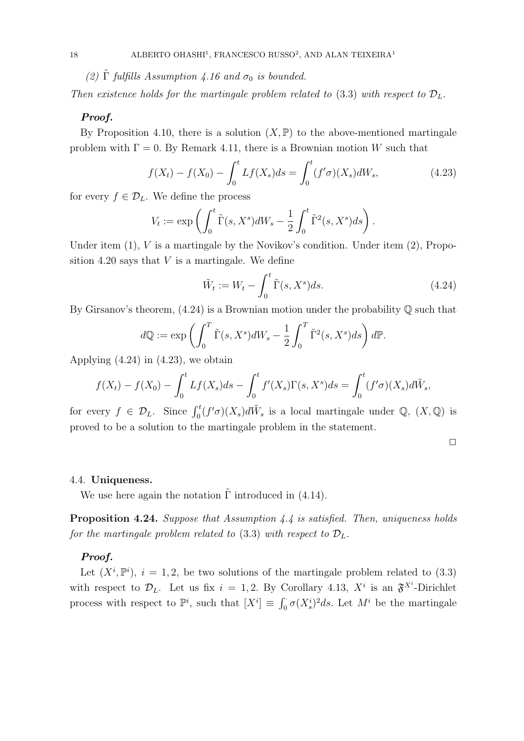(2)  $\tilde{\Gamma}$  fulfills Assumption 4.16 and  $\sigma_0$  is bounded.

Then existence holds for the martingale problem related to (3.3) with respect to  $\mathcal{D}_L$ .

### Proof.

By Proposition 4.10, there is a solution  $(X, \mathbb{P})$  to the above-mentioned martingale problem with  $\Gamma = 0$ . By Remark 4.11, there is a Brownian motion W such that

$$
f(X_t) - f(X_0) - \int_0^t Lf(X_s)ds = \int_0^t (f'\sigma)(X_s)dW_s,
$$
\n(4.23)

for every  $f \in \mathcal{D}_L$ . We define the process

$$
V_t := \exp\left(\int_0^t \tilde{\Gamma}(s, X^s) dW_s - \frac{1}{2} \int_0^t \tilde{\Gamma}^2(s, X^s) ds\right).
$$

Under item  $(1)$ , V is a martingale by the Novikov's condition. Under item  $(2)$ , Proposition 4.20 says that  $V$  is a martingale. We define

$$
\tilde{W}_t := W_t - \int_0^t \tilde{\Gamma}(s, X^s) ds. \tag{4.24}
$$

By Girsanov's theorem,  $(4.24)$  is a Brownian motion under the probability  $\mathbb{Q}$  such that

$$
d\mathbb{Q} := \exp\left(\int_0^T \tilde{\Gamma}(s, X^s) dW_s - \frac{1}{2} \int_0^T \tilde{\Gamma}^2(s, X^s) ds\right) d\mathbb{P}.
$$

Applying  $(4.24)$  in  $(4.23)$ , we obtain

$$
f(X_t) - f(X_0) - \int_0^t Lf(X_s)ds - \int_0^t f'(X_s)\Gamma(s,X^s)ds = \int_0^t (f'\sigma)(X_s)d\tilde{W}_s,
$$

for every  $f \in \mathcal{D}_L$ . Since  $\int_0^t (f' \sigma)(X_s) d\tilde{W}_s$  is a local martingale under  $\mathbb{Q}$ ,  $(X, \mathbb{Q})$  is proved to be a solution to the martingale problem in the statement.

$$
\Box
$$

## 4.4. Uniqueness.

We use here again the notation  $\Gamma$  introduced in (4.14).

Proposition 4.24. Suppose that Assumption 4.4 is satisfied. Then, uniqueness holds for the martingale problem related to (3.3) with respect to  $\mathcal{D}_L$ .

## Proof.

Let  $(X^i, \mathbb{P}^i)$ ,  $i = 1, 2$ , be two solutions of the martingale problem related to  $(3.3)$ with respect to  $\mathcal{D}_L$ . Let us fix  $i = 1, 2$ . By Corollary 4.13,  $X^i$  is an  $\mathfrak{F}^{X^i}$ -Dirichlet process with respect to  $\mathbb{P}^i$ , such that  $[X^i] \equiv \int_0^{\cdot} \sigma(X_s^i)^2 ds$ . Let  $M^i$  be the martingale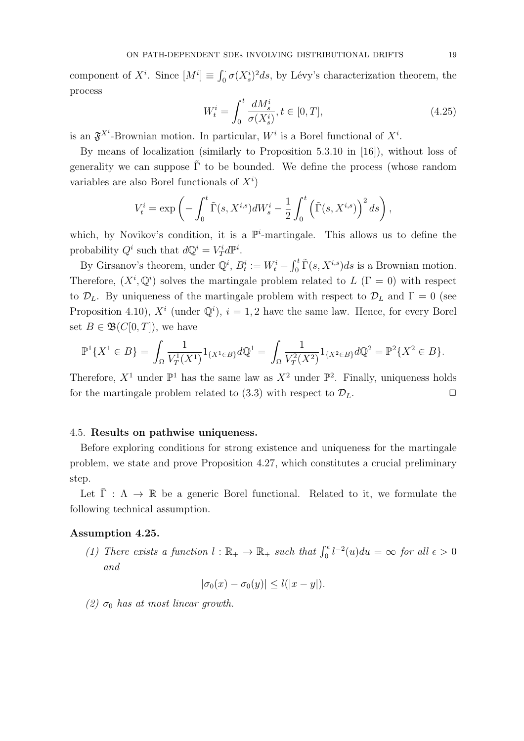component of  $X^i$ . Since  $[M^i] \equiv \int_0^{\cdot} \sigma(X_s^i)^2 ds$ , by Lévy's characterization theorem, the process

$$
W_t^i = \int_0^t \frac{dM_s^i}{\sigma(X_s^i)}, t \in [0, T],
$$
\n(4.25)

is an  $\mathfrak{F}^{X^i}$ -Brownian motion. In particular,  $W^i$  is a Borel functional of  $X^i$ .

By means of localization (similarly to Proposition 5.3.10 in [16]), without loss of generality we can suppose  $\tilde{\Gamma}$  to be bounded. We define the process (whose random variables are also Borel functionals of  $X^i$ )

$$
V_t^i = \exp\left(-\int_0^t \tilde{\Gamma}(s, X^{i,s})dW_s^i - \frac{1}{2}\int_0^t \left(\tilde{\Gamma}(s, X^{i,s})\right)^2 ds\right),
$$

which, by Novikov's condition, it is a  $\mathbb{P}^i$ -martingale. This allows us to define the probability  $Q^i$  such that  $dQ^i = V_T^i d\mathbb{P}^i$ .

By Girsanov's theorem, under  $\mathbb{Q}^i$ ,  $B_t^i := W_t^i + \int_0^t \tilde{\Gamma}(s, X^{i,s})ds$  is a Brownian motion. Therefore,  $(X^i, \mathbb{Q}^i)$  solves the martingale problem related to  $L(\Gamma = 0)$  with respect to  $\mathcal{D}_L$ . By uniqueness of the martingale problem with respect to  $\mathcal{D}_L$  and  $\Gamma = 0$  (see Proposition 4.10),  $X^i$  (under  $\mathbb{Q}^i$ ),  $i = 1, 2$  have the same law. Hence, for every Borel set  $B \in \mathfrak{B}(C[0,T])$ , we have

$$
\mathbb{P}^1\{X^1 \in B\} = \int_{\Omega} \frac{1}{V_T^1(X^1)} 1_{\{X^1 \in B\}} d\mathbb{Q}^1 = \int_{\Omega} \frac{1}{V_T^2(X^2)} 1_{\{X^2 \in B\}} d\mathbb{Q}^2 = \mathbb{P}^2\{X^2 \in B\}.
$$

Therefore,  $X^1$  under  $\mathbb{P}^1$  has the same law as  $X^2$  under  $\mathbb{P}^2$ . Finally, uniqueness holds for the martingale problem related to (3.3) with respect to  $\mathcal{D}_L$ .

### 4.5. Results on pathwise uniqueness.

Before exploring conditions for strong existence and uniqueness for the martingale problem, we state and prove Proposition 4.27, which constitutes a crucial preliminary step.

Let  $\overline{\Gamma}$  :  $\Lambda \to \mathbb{R}$  be a generic Borel functional. Related to it, we formulate the following technical assumption.

### Assumption 4.25.

(1) There exists a function  $l : \mathbb{R}_+ \to \mathbb{R}_+$  such that  $\int_0^{\epsilon} l^{-2}(u) du = \infty$  for all  $\epsilon > 0$ and

$$
|\sigma_0(x) - \sigma_0(y)| \le l(|x - y|).
$$

(2)  $\sigma_0$  has at most linear growth.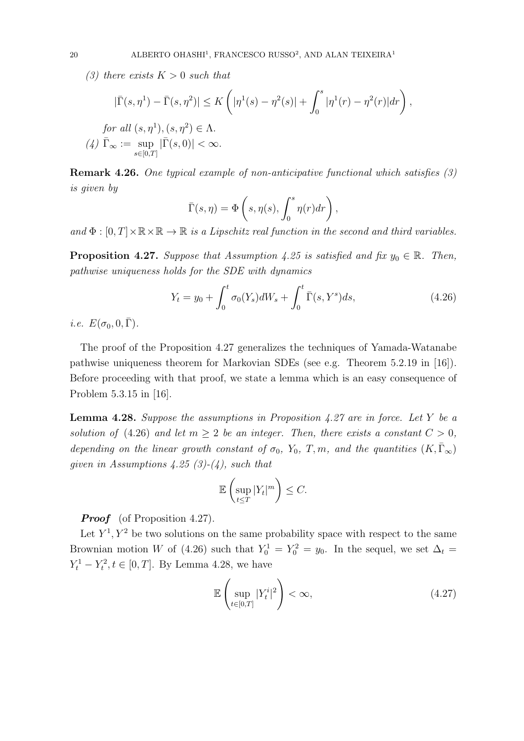(3) there exists  $K > 0$  such that

$$
|\bar{\Gamma}(s,\eta^1) - \bar{\Gamma}(s,\eta^2)| \le K\left(|\eta^1(s) - \eta^2(s)| + \int_0^s |\eta^1(r) - \eta^2(r)|dr\right),
$$
  
for all  $(s,\eta^1)$ ,  $(s,\eta^2) \in \Lambda$ .  
(4)  $\bar{\Gamma}_{\infty} := \sup_{s \in [0,T]} |\bar{\Gamma}(s,0)| < \infty$ .

Remark 4.26. One typical example of non-anticipative functional which satisfies (3) is given by

$$
\bar{\Gamma}(s,\eta) = \Phi\left(s, \eta(s), \int_0^s \eta(r) dr\right),\,
$$

and  $\Phi : [0, T] \times \mathbb{R} \times \mathbb{R} \to \mathbb{R}$  is a Lipschitz real function in the second and third variables.

**Proposition 4.27.** Suppose that Assumption 4.25 is satisfied and fix  $y_0 \in \mathbb{R}$ . Then, pathwise uniqueness holds for the SDE with dynamics

$$
Y_t = y_0 + \int_0^t \sigma_0(Y_s) dW_s + \int_0^t \bar{\Gamma}(s, Y^s) ds,
$$
\n(4.26)

i.e.  $E(\sigma_0, 0, \overline{\Gamma})$ .

The proof of the Proposition 4.27 generalizes the techniques of Yamada-Watanabe pathwise uniqueness theorem for Markovian SDEs (see e.g. Theorem 5.2.19 in [16]). Before proceeding with that proof, we state a lemma which is an easy consequence of Problem 5.3.15 in [16].

**Lemma 4.28.** Suppose the assumptions in Proposition 4.27 are in force. Let Y be a solution of (4.26) and let  $m \geq 2$  be an integer. Then, there exists a constant  $C > 0$ , depending on the linear growth constant of  $\sigma_0$ ,  $Y_0$ ,  $T, m$ , and the quantities  $(K, \overline{\Gamma}_{\infty})$ given in Assumptions 4.25 (3)-(4), such that

$$
\mathbb{E}\left(\sup_{t\leq T}|Y_t|^m\right)\leq C.
$$

**Proof** (of Proposition 4.27).

Let  $Y^1, Y^2$  be two solutions on the same probability space with respect to the same Brownian motion W of (4.26) such that  $Y_0^1 = Y_0^2 = y_0$ . In the sequel, we set  $\Delta_t =$  $Y_t^1 - Y_t^2, t \in [0, T]$ . By Lemma 4.28, we have

$$
\mathbb{E}\left(\sup_{t\in[0,T]}|Y_t^i|^2\right)<\infty,\tag{4.27}
$$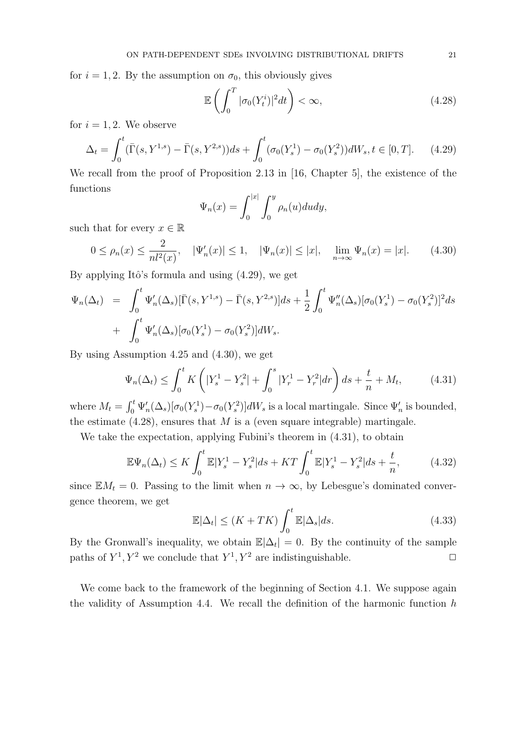for  $i = 1, 2$ . By the assumption on  $\sigma_0$ , this obviously gives

$$
\mathbb{E}\left(\int_{0}^{T} |\sigma_{0}(Y_{t}^{i})|^{2} dt\right) < \infty, \tag{4.28}
$$

for  $i = 1, 2$ . We observe

$$
\Delta_t = \int_0^t (\bar{\Gamma}(s, Y^{1,s}) - \bar{\Gamma}(s, Y^{2,s})) ds + \int_0^t (\sigma_0(Y_s^1) - \sigma_0(Y_s^2)) dW_s, t \in [0, T]. \tag{4.29}
$$

We recall from the proof of Proposition 2.13 in [16, Chapter 5], the existence of the functions

$$
\Psi_n(x) = \int_0^{|x|} \int_0^y \rho_n(u) du dy,
$$

such that for every  $x \in \mathbb{R}$ 

$$
0 \le \rho_n(x) \le \frac{2}{n!^2(x)}, \quad |\Psi'_n(x)| \le 1, \quad |\Psi_n(x)| \le |x|, \quad \lim_{n \to \infty} \Psi_n(x) = |x|.
$$
 (4.30)

By applying Itô's formula and using  $(4.29)$ , we get

$$
\Psi_n(\Delta_t) = \int_0^t \Psi'_n(\Delta_s) [\bar{\Gamma}(s, Y^{1,s}) - \bar{\Gamma}(s, Y^{2,s})] ds + \frac{1}{2} \int_0^t \Psi''_n(\Delta_s) [\sigma_0(Y^1_s) - \sigma_0(Y^2_s)]^2 ds \n+ \int_0^t \Psi'_n(\Delta_s) [\sigma_0(Y^1_s) - \sigma_0(Y^2_s)] dW_s.
$$

By using Assumption 4.25 and (4.30), we get

$$
\Psi_n(\Delta_t) \le \int_0^t K\left(|Y_s^1 - Y_s^2| + \int_0^s |Y_r^1 - Y_r^2| dr\right) ds + \frac{t}{n} + M_t,\tag{4.31}
$$

where  $M_t = \int_0^t \Psi'_n(\Delta_s) [\sigma_0(Y_s^1) - \sigma_0(Y_s^2)] dW_s$  is a local martingale. Since  $\Psi'_n$  is bounded, the estimate  $(4.28)$ , ensures that M is a (even square integrable) martingale.

We take the expectation, applying Fubini's theorem in (4.31), to obtain

$$
\mathbb{E}\Psi_n(\Delta_t) \le K \int_0^t \mathbb{E}|Y_s^1 - Y_s^2|ds + KT \int_0^t \mathbb{E}|Y_s^1 - Y_s^2|ds + \frac{t}{n},\tag{4.32}
$$

since  $EM_t = 0$ . Passing to the limit when  $n \to \infty$ , by Lebesgue's dominated convergence theorem, we get

$$
\mathbb{E}|\Delta_t| \le (K + TK) \int_0^t \mathbb{E}|\Delta_s| ds. \tag{4.33}
$$

By the Gronwall's inequality, we obtain  $\mathbb{E}|\Delta_t|=0$ . By the continuity of the sample paths of  $Y^1, Y^2$  we conclude that  $Y^1, Y^2$  are indistinguishable.

We come back to the framework of the beginning of Section 4.1. We suppose again the validity of Assumption 4.4. We recall the definition of the harmonic function  $h$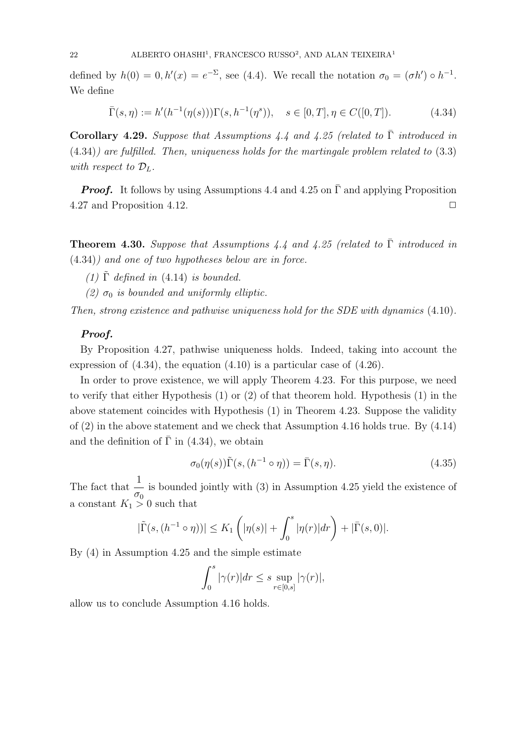defined by  $h(0) = 0, h'(x) = e^{-\Sigma}$ , see (4.4). We recall the notation  $\sigma_0 = (\sigma h') \circ h^{-1}$ . We define

$$
\bar{\Gamma}(s,\eta) := h'(h^{-1}(\eta(s)))\Gamma(s,h^{-1}(\eta^s)), \quad s \in [0,T], \eta \in C([0,T]).
$$
\n(4.34)

Corollary 4.29. Suppose that Assumptions 4.4 and 4.25 (related to  $\overline{\Gamma}$  introduced in (4.34)) are fulfilled. Then, uniqueness holds for the martingale problem related to (3.3) with respect to  $\mathcal{D}_L$ .

**Proof.** It follows by using Assumptions 4.4 and 4.25 on  $\overline{\Gamma}$  and applying Proposition 4.27 and Proposition 4.12.  $\Box$ 

**Theorem 4.30.** Suppose that Assumptions 4.4 and 4.25 (related to  $\overline{\Gamma}$  introduced in (4.34)) and one of two hypotheses below are in force.

- (1)  $\tilde{\Gamma}$  defined in (4.14) is bounded.
- (2)  $\sigma_0$  is bounded and uniformly elliptic.

Then, strong existence and pathwise uniqueness hold for the SDE with dynamics (4.10).

## Proof.

By Proposition 4.27, pathwise uniqueness holds. Indeed, taking into account the expression of  $(4.34)$ , the equation  $(4.10)$  is a particular case of  $(4.26)$ .

In order to prove existence, we will apply Theorem 4.23. For this purpose, we need to verify that either Hypothesis (1) or (2) of that theorem hold. Hypothesis (1) in the above statement coincides with Hypothesis (1) in Theorem 4.23. Suppose the validity of (2) in the above statement and we check that Assumption 4.16 holds true. By (4.14) and the definition of  $\bar{\Gamma}$  in (4.34), we obtain

$$
\sigma_0(\eta(s))\tilde{\Gamma}(s,(h^{-1}\circ\eta)) = \bar{\Gamma}(s,\eta). \tag{4.35}
$$

The fact that  $\frac{1}{1}$  $\frac{1}{\sigma_0}$  is bounded jointly with (3) in Assumption 4.25 yield the existence of a constant  $K_1 > 0$  such that

$$
|\tilde{\Gamma}(s,(h^{-1}\circ \eta))| \le K_1(|\eta(s)| + \int_0^s |\eta(r)| dr + |\bar{\Gamma}(s,0)|.
$$

By (4) in Assumption 4.25 and the simple estimate

$$
\int_0^s |\gamma(r)| dr \le s \sup_{r \in [0,s]} |\gamma(r)|,
$$

allow us to conclude Assumption 4.16 holds.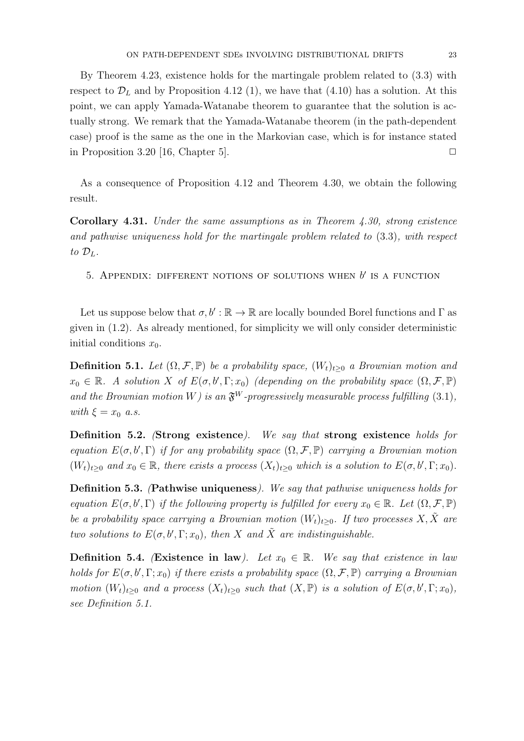By Theorem 4.23, existence holds for the martingale problem related to (3.3) with respect to  $\mathcal{D}_L$  and by Proposition 4.12 (1), we have that (4.10) has a solution. At this point, we can apply Yamada-Watanabe theorem to guarantee that the solution is actually strong. We remark that the Yamada-Watanabe theorem (in the path-dependent case) proof is the same as the one in the Markovian case, which is for instance stated in Proposition 3.20 [16, Chapter 5].  $\Box$ 

As a consequence of Proposition 4.12 and Theorem 4.30, we obtain the following result.

Corollary 4.31. Under the same assumptions as in Theorem 4.30, strong existence and pathwise uniqueness hold for the martingale problem related to (3.3), with respect to  $\mathcal{D}_L$ .

5. APPENDIX: DIFFERENT NOTIONS OF SOLUTIONS WHEN  $b'$  is a function

Let us suppose below that  $\sigma, b' : \mathbb{R} \to \mathbb{R}$  are locally bounded Borel functions and  $\Gamma$  as given in (1.2). As already mentioned, for simplicity we will only consider deterministic initial conditions  $x_0$ .

**Definition 5.1.** Let  $(\Omega, \mathcal{F}, \mathbb{P})$  be a probability space,  $(W_t)_{t>0}$  a Brownian motion and  $x_0 \in \mathbb{R}$ . A solution X of  $E(\sigma, b', \Gamma; x_0)$  (depending on the probability space  $(\Omega, \mathcal{F}, \mathbb{P})$ and the Brownian motion W) is an  $\mathfrak{F}^W$ -progressively measurable process fulfilling (3.1), with  $\xi = x_0$  a.s.

Definition 5.2. (Strong existence). We say that strong existence holds for equation  $E(\sigma, b', \Gamma)$  if for any probability space  $(\Omega, \mathcal{F}, \mathbb{P})$  carrying a Brownian motion  $(W_t)_{t\geq0}$  and  $x_0 \in \mathbb{R}$ , there exists a process  $(X_t)_{t\geq0}$  which is a solution to  $E(\sigma, b', \Gamma; x_0)$ .

Definition 5.3. (Pathwise uniqueness). We say that pathwise uniqueness holds for equation  $E(\sigma, b', \Gamma)$  if the following property is fulfilled for every  $x_0 \in \mathbb{R}$ . Let  $(\Omega, \mathcal{F}, \mathbb{P})$ be a probability space carrying a Brownian motion  $(W_t)_{t>0}$ . If two processes X, X are two solutions to  $E(\sigma, b', \Gamma; x_0)$ , then X and  $\tilde{X}$  are indistinguishable.

**Definition 5.4.** (Existence in law). Let  $x_0 \in \mathbb{R}$ . We say that existence in law holds for  $E(\sigma, b', \Gamma; x_0)$  if there exists a probability space  $(\Omega, \mathcal{F}, \mathbb{P})$  carrying a Brownian motion  $(W_t)_{t\geq0}$  and a process  $(X_t)_{t\geq0}$  such that  $(X,\mathbb{P})$  is a solution of  $E(\sigma, b', \Gamma; x_0)$ , see Definition 5.1.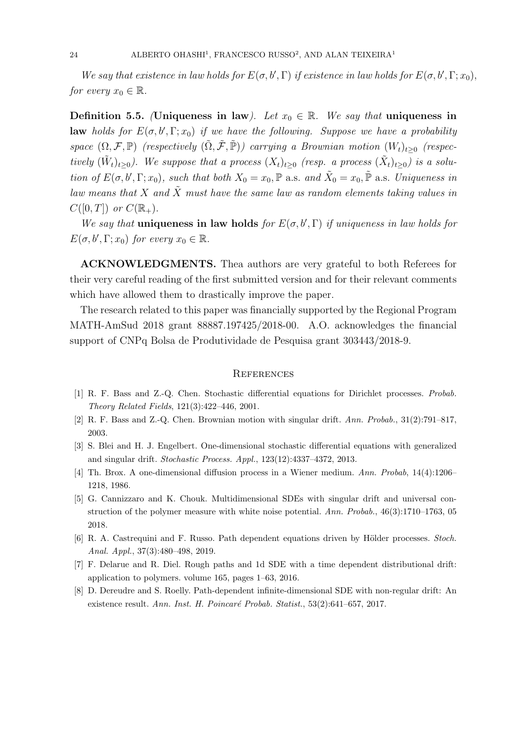We say that existence in law holds for  $E(\sigma, b', \Gamma)$  if existence in law holds for  $E(\sigma, b', \Gamma; x_0)$ , for every  $x_0 \in \mathbb{R}$ .

Definition 5.5. (Uniqueness in law). Let  $x_0 \in \mathbb{R}$ . We say that uniqueness in **law** holds for  $E(\sigma, b', \Gamma; x_0)$  if we have the following. Suppose we have a probability space  $(\Omega, \mathcal{F}, \mathbb{P})$  (respectively  $(\tilde{\Omega}, \tilde{\mathcal{F}}, \tilde{\mathbb{P}})$ ) carrying a Brownian motion  $(W_t)_{t\geq 0}$  (respectively  $(\tilde{W}_t)_{t\geq0}$ ). We suppose that a process  $(X_t)_{t\geq0}$  (resp. a process  $(\tilde{X}_t)_{t\geq0}$ ) is a solution of  $E(\sigma, b', \Gamma; x_0)$ , such that both  $X_0 = x_0$ ,  $\mathbb P$  a.s. and  $\tilde{X}_0 = x_0$ ,  $\tilde{\mathbb P}$  a.s. Uniqueness in law means that X and  $\tilde{X}$  must have the same law as random elements taking values in  $C([0,T])$  or  $C(\mathbb{R}_+).$ 

We say that **uniqueness in law holds** for  $E(\sigma, b', \Gamma)$  if uniqueness in law holds for  $E(\sigma, b', \Gamma; x_0)$  for every  $x_0 \in \mathbb{R}$ .

ACKNOWLEDGMENTS. Thea authors are very grateful to both Referees for their very careful reading of the first submitted version and for their relevant comments which have allowed them to drastically improve the paper.

The research related to this paper was financially supported by the Regional Program MATH-AmSud 2018 grant 88887.197425/2018-00. A.O. acknowledges the financial support of CNPq Bolsa de Produtividade de Pesquisa grant 303443/2018-9.

### **REFERENCES**

- [1] R. F. Bass and Z.-Q. Chen. Stochastic differential equations for Dirichlet processes. Probab. Theory Related Fields, 121(3):422–446, 2001.
- [2] R. F. Bass and Z.-Q. Chen. Brownian motion with singular drift. Ann. Probab., 31(2):791–817, 2003.
- [3] S. Blei and H. J. Engelbert. One-dimensional stochastic differential equations with generalized and singular drift. Stochastic Process. Appl., 123(12):4337–4372, 2013.
- [4] Th. Brox. A one-dimensional diffusion process in a Wiener medium. Ann. Probab, 14(4):1206– 1218, 1986.
- [5] G. Cannizzaro and K. Chouk. Multidimensional SDEs with singular drift and universal construction of the polymer measure with white noise potential. Ann. Probab., 46(3):1710–1763, 05 2018.
- [6] R. A. Castrequini and F. Russo. Path dependent equations driven by Hölder processes. Stoch. Anal. Appl., 37(3):480–498, 2019.
- [7] F. Delarue and R. Diel. Rough paths and 1d SDE with a time dependent distributional drift: application to polymers. volume 165, pages 1–63, 2016.
- [8] D. Dereudre and S. Roelly. Path-dependent infinite-dimensional SDE with non-regular drift: An existence result. Ann. Inst. H. Poincaré Probab. Statist.,  $53(2):641-657$ ,  $2017$ .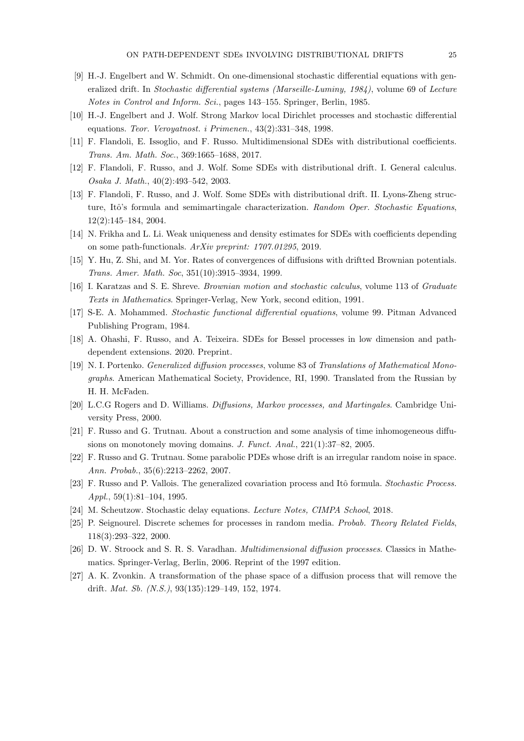- [9] H.-J. Engelbert and W. Schmidt. On one-dimensional stochastic differential equations with generalized drift. In Stochastic differential systems (Marseille-Luminy, 1984), volume 69 of Lecture Notes in Control and Inform. Sci., pages 143–155. Springer, Berlin, 1985.
- [10] H.-J. Engelbert and J. Wolf. Strong Markov local Dirichlet processes and stochastic differential equations. Teor. Veroyatnost. i Primenen., 43(2):331–348, 1998.
- [11] F. Flandoli, E. Issoglio, and F. Russo. Multidimensional SDEs with distributional coefficients. Trans. Am. Math. Soc., 369:1665–1688, 2017.
- [12] F. Flandoli, F. Russo, and J. Wolf. Some SDEs with distributional drift. I. General calculus. Osaka J. Math., 40(2):493–542, 2003.
- [13] F. Flandoli, F. Russo, and J. Wolf. Some SDEs with distributional drift. II. Lyons-Zheng structure, Itô's formula and semimartingale characterization. Random Oper. Stochastic Equations, 12(2):145–184, 2004.
- [14] N. Frikha and L. Li. Weak uniqueness and density estimates for SDEs with coefficients depending on some path-functionals. ArXiv preprint: 1707.01295, 2019.
- [15] Y. Hu, Z. Shi, and M. Yor. Rates of convergences of diffusions with driftted Brownian potentials. Trans. Amer. Math. Soc, 351(10):3915–3934, 1999.
- [16] I. Karatzas and S. E. Shreve. Brownian motion and stochastic calculus, volume 113 of Graduate Texts in Mathematics. Springer-Verlag, New York, second edition, 1991.
- [17] S-E. A. Mohammed. Stochastic functional differential equations, volume 99. Pitman Advanced Publishing Program, 1984.
- [18] A. Ohashi, F. Russo, and A. Teixeira. SDEs for Bessel processes in low dimension and pathdependent extensions. 2020. Preprint.
- [19] N. I. Portenko. Generalized diffusion processes, volume 83 of Translations of Mathematical Monographs. American Mathematical Society, Providence, RI, 1990. Translated from the Russian by H. H. McFaden.
- [20] L.C.G Rogers and D. Williams. Diffusions, Markov processes, and Martingales. Cambridge University Press, 2000.
- [21] F. Russo and G. Trutnau. About a construction and some analysis of time inhomogeneous diffusions on monotonely moving domains. J. Funct. Anal., 221(1):37–82, 2005.
- [22] F. Russo and G. Trutnau. Some parabolic PDEs whose drift is an irregular random noise in space. Ann. Probab., 35(6):2213–2262, 2007.
- [23] F. Russo and P. Vallois. The generalized covariation process and Itô formula. Stochastic Process. Appl., 59(1):81–104, 1995.
- [24] M. Scheutzow. Stochastic delay equations. Lecture Notes, CIMPA School, 2018.
- [25] P. Seignourel. Discrete schemes for processes in random media. Probab. Theory Related Fields, 118(3):293–322, 2000.
- [26] D. W. Stroock and S. R. S. Varadhan. Multidimensional diffusion processes. Classics in Mathematics. Springer-Verlag, Berlin, 2006. Reprint of the 1997 edition.
- [27] A. K. Zvonkin. A transformation of the phase space of a diffusion process that will remove the drift. Mat. Sb. (N.S.), 93(135):129–149, 152, 1974.